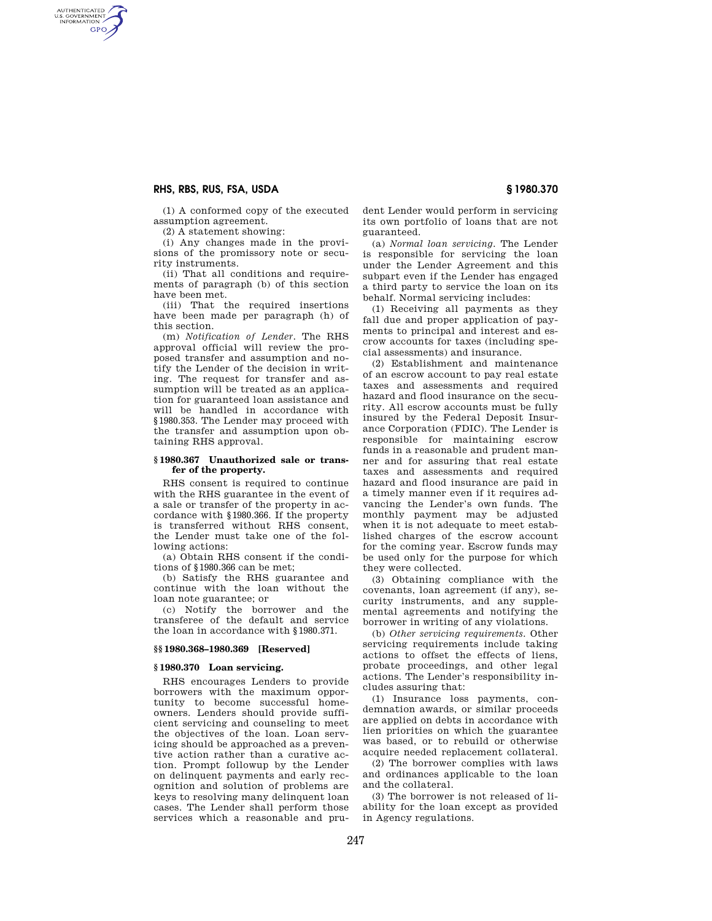# **RHS, RBS, RUS, FSA, USDA § 1980.370**

AUTHENTICATED<br>U.S. GOVERNMENT<br>INFORMATION **GPO** 

(1) A conformed copy of the executed assumption agreement.

(2) A statement showing:

(i) Any changes made in the provisions of the promissory note or security instruments.

(ii) That all conditions and requirements of paragraph (b) of this section have been met.

(iii) That the required insertions have been made per paragraph (h) of this section.

(m) *Notification of Lender.* The RHS approval official will review the proposed transfer and assumption and notify the Lender of the decision in writing. The request for transfer and assumption will be treated as an application for guaranteed loan assistance and will be handled in accordance with §1980.353. The Lender may proceed with the transfer and assumption upon obtaining RHS approval.

## **§ 1980.367 Unauthorized sale or transfer of the property.**

RHS consent is required to continue with the RHS guarantee in the event of a sale or transfer of the property in accordance with §1980.366. If the property is transferred without RHS consent, the Lender must take one of the following actions:

(a) Obtain RHS consent if the conditions of §1980.366 can be met;

(b) Satisfy the RHS guarantee and continue with the loan without the loan note guarantee; or

(c) Notify the borrower and the transferee of the default and service the loan in accordance with §1980.371.

### **§§ 1980.368–1980.369 [Reserved]**

### **§ 1980.370 Loan servicing.**

RHS encourages Lenders to provide borrowers with the maximum opportunity to become successful homeowners. Lenders should provide sufficient servicing and counseling to meet the objectives of the loan. Loan servicing should be approached as a preventive action rather than a curative action. Prompt followup by the Lender on delinquent payments and early recognition and solution of problems are keys to resolving many delinquent loan cases. The Lender shall perform those services which a reasonable and prudent Lender would perform in servicing its own portfolio of loans that are not guaranteed.

(a) *Normal loan servicing.* The Lender is responsible for servicing the loan under the Lender Agreement and this subpart even if the Lender has engaged a third party to service the loan on its behalf. Normal servicing includes:

(1) Receiving all payments as they fall due and proper application of payments to principal and interest and escrow accounts for taxes (including special assessments) and insurance.

(2) Establishment and maintenance of an escrow account to pay real estate taxes and assessments and required hazard and flood insurance on the security. All escrow accounts must be fully insured by the Federal Deposit Insurance Corporation (FDIC). The Lender is responsible for maintaining escrow funds in a reasonable and prudent manner and for assuring that real estate taxes and assessments and required hazard and flood insurance are paid in a timely manner even if it requires advancing the Lender's own funds. The monthly payment may be adjusted when it is not adequate to meet established charges of the escrow account for the coming year. Escrow funds may be used only for the purpose for which they were collected.

(3) Obtaining compliance with the covenants, loan agreement (if any), security instruments, and any supplemental agreements and notifying the borrower in writing of any violations.

(b) *Other servicing requirements.* Other servicing requirements include taking actions to offset the effects of liens, probate proceedings, and other legal actions. The Lender's responsibility includes assuring that:

(1) Insurance loss payments, condemnation awards, or similar proceeds are applied on debts in accordance with lien priorities on which the guarantee was based, or to rebuild or otherwise acquire needed replacement collateral.

(2) The borrower complies with laws and ordinances applicable to the loan and the collateral.

(3) The borrower is not released of liability for the loan except as provided in Agency regulations.